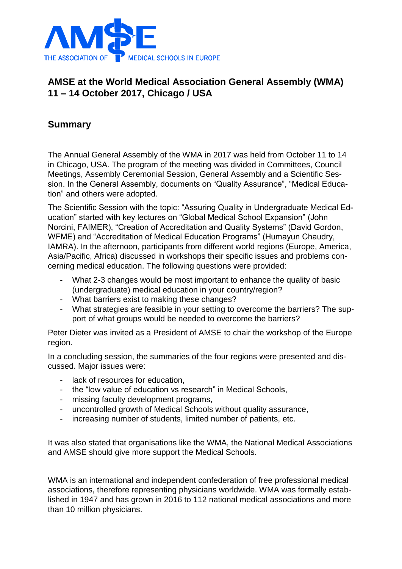

## **AMSE at the World Medical Association General Assembly (WMA) 11 – 14 October 2017, Chicago / USA**

## **Summary**

The Annual General Assembly of the WMA in 2017 was held from October 11 to 14 in Chicago, USA. The program of the meeting was divided in Committees, Council Meetings, Assembly Ceremonial Session, General Assembly and a Scientific Session. In the General Assembly, documents on "Quality Assurance", "Medical Education" and others were adopted.

The Scientific Session with the topic: "Assuring Quality in Undergraduate Medical Education" started with key lectures on "Global Medical School Expansion" (John Norcini, FAIMER), "Creation of Accreditation and Quality Systems" (David Gordon, WFME) and "Accreditation of Medical Education Programs" (Humayun Chaudry, IAMRA). In the afternoon, participants from different world regions (Europe, America, Asia/Pacific, Africa) discussed in workshops their specific issues and problems concerning medical education. The following questions were provided:

- What 2-3 changes would be most important to enhance the quality of basic (undergraduate) medical education in your country/region?
- What barriers exist to making these changes?
- What strategies are feasible in your setting to overcome the barriers? The support of what groups would be needed to overcome the barriers?

Peter Dieter was invited as a President of AMSE to chair the workshop of the Europe region.

In a concluding session, the summaries of the four regions were presented and discussed. Major issues were:

- lack of resources for education,
- the "low value of education vs research" in Medical Schools,
- missing faculty development programs,
- uncontrolled growth of Medical Schools without quality assurance,
- increasing number of students, limited number of patients, etc.

It was also stated that organisations like the WMA, the National Medical Associations and AMSE should give more support the Medical Schools.

WMA is an international and independent confederation of free professional medical associations, therefore representing physicians worldwide. WMA was formally established in 1947 and has grown in 2016 to 112 national medical associations and more than 10 million physicians.